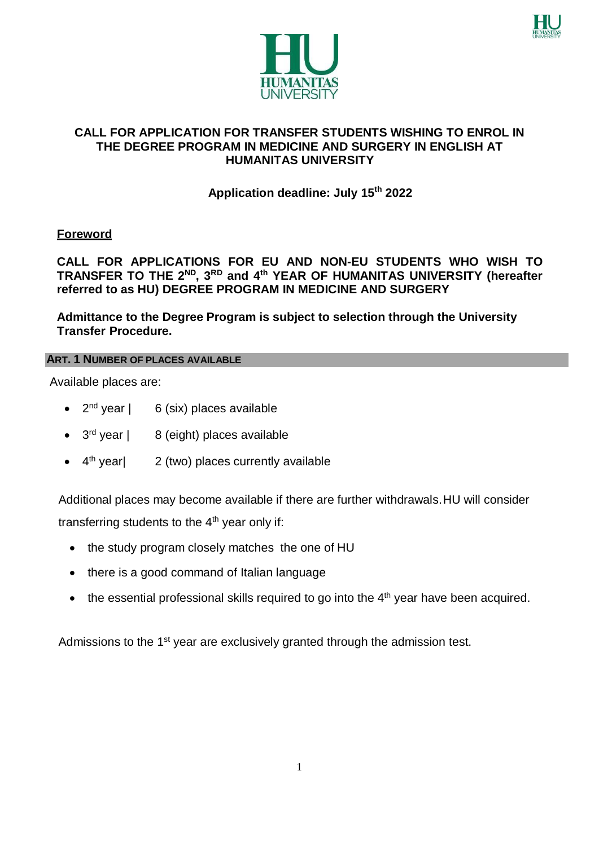



### **CALL FOR APPLICATION FOR TRANSFER STUDENTS WISHING TO ENROL IN THE DEGREE PROGRAM IN MEDICINE AND SURGERY IN ENGLISH AT HUMANITAS UNIVERSITY**

# **Application deadline: July 15th 2022**

## **Foreword**

# **CALL FOR APPLICATIONS FOR EU AND NON-EU STUDENTS WHO WISH TO TRANSFER TO THE 2ND, 3RD and 4th YEAR OF HUMANITAS UNIVERSITY (hereafter referred to as HU) DEGREE PROGRAM IN MEDICINE AND SURGERY**

**Admittance to the Degree Program is subject to selection through the University Transfer Procedure.**

### **ART. 1 NUMBER OF PLACES AVAILABLE**

Available places are:

- $2<sup>nd</sup>$  year | 6 (six) places available
- $\bullet$  3<sup>rd</sup> year | 8 (eight) places available
- $\bullet$  4<sup>th</sup> year | 2 (two) places currently available

Additional places may become available if there are further withdrawals.HU will consider transferring students to the  $4<sup>th</sup>$  year only if:

- the study program closely matches the one of HU
- there is a good command of Italian language
- $\bullet$  the essential professional skills required to go into the  $4<sup>th</sup>$  year have been acquired.

Admissions to the 1<sup>st</sup> year are exclusively granted through the admission test.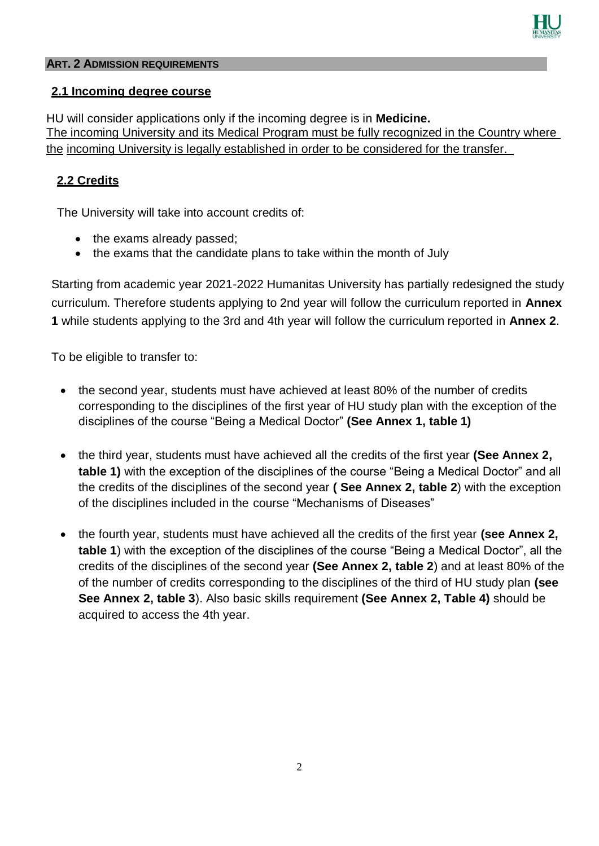

### **ART. 2 ADMISSION REQUIREMENTS**

### **2.1 Incoming degree course**

HU will consider applications only if the incoming degree is in **Medicine.** The incoming University and its Medical Program must be fully recognized in the Country where the incoming University is legally established in order to be considered for the transfer.

## **2.2 Credits**

The University will take into account credits of:

- the exams already passed:
- the exams that the candidate plans to take within the month of July

Starting from academic year 2021-2022 Humanitas University has partially redesigned the study curriculum. Therefore students applying to 2nd year will follow the curriculum reported in **Annex 1** while students applying to the 3rd and 4th year will follow the curriculum reported in **Annex 2**.

To be eligible to transfer to:

- the second year, students must have achieved at least 80% of the number of credits corresponding to the disciplines of the first year of HU study plan with the exception of the disciplines of the course "Being a Medical Doctor" **(See Annex 1, table 1)**
- the third year, students must have achieved all the credits of the first year **(See Annex 2, table 1)** with the exception of the disciplines of the course "Being a Medical Doctor" and all the credits of the disciplines of the second year **( See Annex 2, table 2**) with the exception of the disciplines included in the course "Mechanisms of Diseases"
- the fourth year, students must have achieved all the credits of the first year **(see Annex 2, table 1**) with the exception of the disciplines of the course "Being a Medical Doctor", all the credits of the disciplines of the second year **(See Annex 2, table 2**) and at least 80% of the of the number of credits corresponding to the disciplines of the third of HU study plan **(see See Annex 2, table 3**). Also basic skills requirement **(See Annex 2, Table 4)** should be acquired to access the 4th year.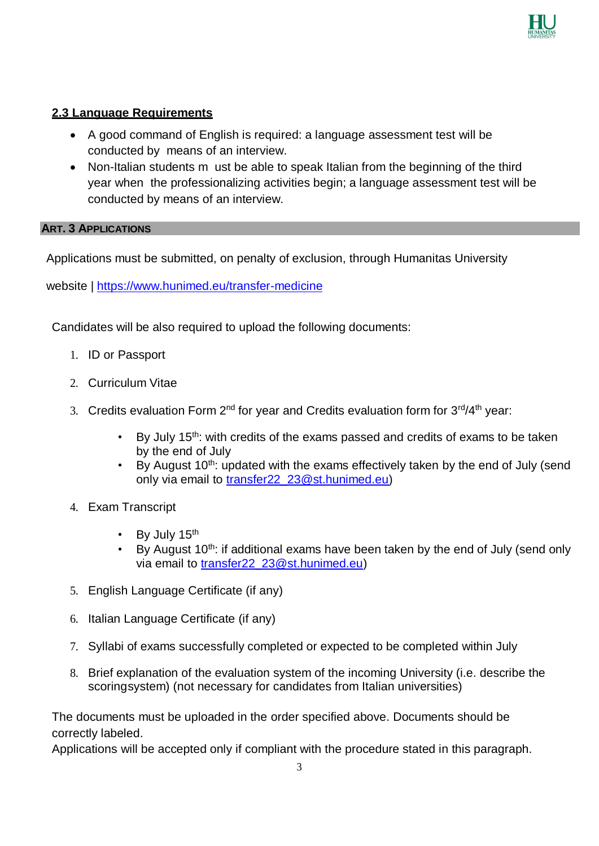

## **2.3 Language Requirements**

- A good command of English is required: a language assessment test will be conducted by means of an interview.
- Non-Italian students m ust be able to speak Italian from the beginning of the third year when the professionalizing activities begin; a language assessment test will be conducted by means of an interview.

### **ART. 3 APPLICATIONS**

Applications must be submitted, on penalty of exclusion, through Humanitas University

website |<https://www.hunimed.eu/transfer-medicine>

Candidates will be also required to upload the following documents:

- 1. ID or Passport
- 2. Curriculum Vitae
- 3. Credits evaluation Form 2<sup>nd</sup> for year and Credits evaluation form for 3<sup>rd</sup>/4<sup>th</sup> year:
	- By July 15<sup>th</sup>: with credits of the exams passed and credits of exams to be taken by the end of July
	- By August  $10^{th}$ : updated with the exams effectively taken by the end of July (send only via email to [transfer22\\_23@st.hunimed.eu\)](mailto:transfer22_23@st.hunimed.eu)
- 4. Exam Transcript
	- By July 15<sup>th</sup>
	- By August  $10<sup>th</sup>$ : if additional exams have been taken by the end of July (send only via email to [transfer22\\_23@st.hunimed.eu\)](mailto:transfer22_23@st.hunimed.eu)
- 5. English Language Certificate (if any)
- 6. Italian Language Certificate (if any)
- 7. Syllabi of exams successfully completed or expected to be completed within July
- 8. Brief explanation of the evaluation system of the incoming University (i.e. describe the scoringsystem) (not necessary for candidates from Italian universities)

The documents must be uploaded in the order specified above. Documents should be correctly labeled.

Applications will be accepted only if compliant with the procedure stated in this paragraph.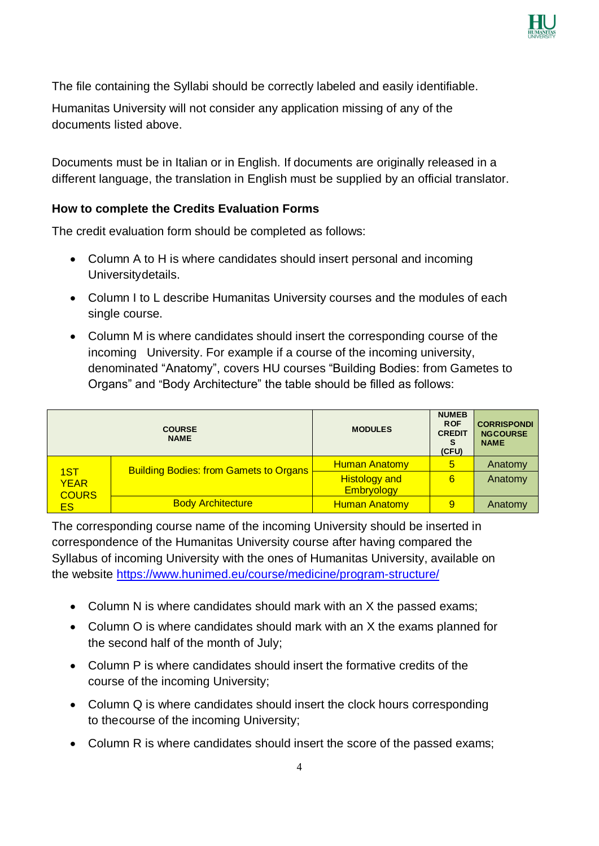

The file containing the Syllabi should be correctly labeled and easily identifiable.

Humanitas University will not consider any application missing of any of the documents listed above.

Documents must be in Italian or in English. If documents are originally released in a different language, the translation in English must be supplied by an official translator.

### **How to complete the Credits Evaluation Forms**

The credit evaluation form should be completed as follows:

- Column A to H is where candidates should insert personal and incoming Universitydetails.
- Column I to L describe Humanitas University courses and the modules of each single course.
- Column M is where candidates should insert the corresponding course of the incoming University. For example if a course of the incoming university, denominated "Anatomy", covers HU courses "Building Bodies: from Gametes to Organs" and "Body Architecture" the table should be filled as follows:

|                                           | <b>COURSE</b><br><b>NAME</b>                  | <b>MODULES</b>                            | <b>NUMEB</b><br><b>ROF</b><br><b>CREDIT</b><br>s<br>(CFU) | <b>CORRISPONDI</b><br><b>NGCOURSE</b><br><b>NAME</b> |
|-------------------------------------------|-----------------------------------------------|-------------------------------------------|-----------------------------------------------------------|------------------------------------------------------|
| 1ST<br><b>YEAR</b><br><b>COURS</b><br>ES. | <b>Building Bodies: from Gamets to Organs</b> | <b>Human Anatomy</b>                      | 5                                                         | Anatomy                                              |
|                                           |                                               | <b>Histology and</b><br><b>Embryology</b> | 6                                                         | Anatomy                                              |
|                                           | <b>Body Architecture</b>                      | <b>Human Anatomy</b>                      | 9                                                         | Anatomy                                              |

The corresponding course name of the incoming University should be inserted in correspondence of the Humanitas University course after having compared the Syllabus of incoming University with the ones of Humanitas University, available on the website <https://www.hunimed.eu/course/medicine/program-structure/>

- Column N is where candidates should mark with an X the passed exams;
- Column O is where candidates should mark with an X the exams planned for the second half of the month of July;
- Column P is where candidates should insert the formative credits of the course of the incoming University;
- Column Q is where candidates should insert the clock hours corresponding to thecourse of the incoming University;
- Column R is where candidates should insert the score of the passed exams;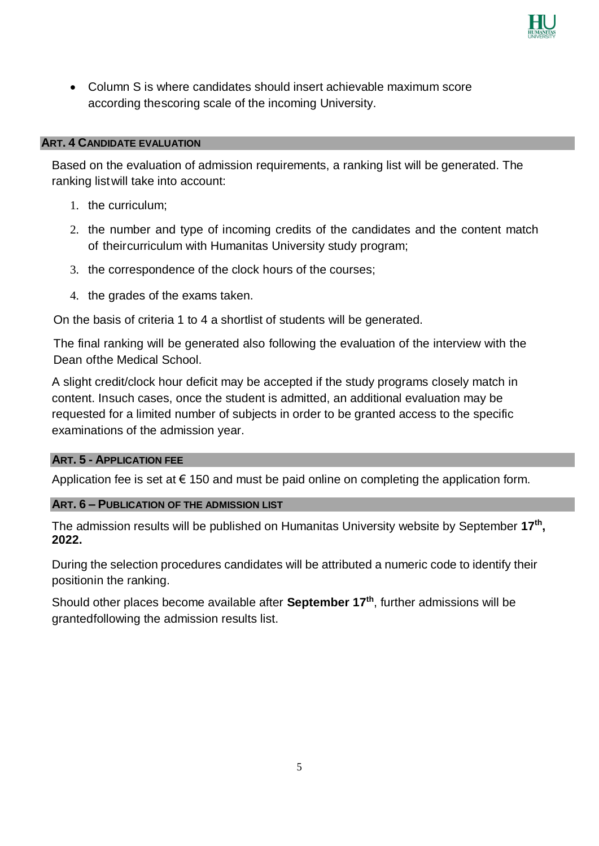

 Column S is where candidates should insert achievable maximum score according thescoring scale of the incoming University.

#### **ART. 4 CANDIDATE EVALUATION**

Based on the evaluation of admission requirements, a ranking list will be generated. The ranking listwill take into account:

- 1. the curriculum;
- 2. the number and type of incoming credits of the candidates and the content match of theircurriculum with Humanitas University study program;
- 3. the correspondence of the clock hours of the courses;
- 4. the grades of the exams taken.

On the basis of criteria 1 to 4 a shortlist of students will be generated.

The final ranking will be generated also following the evaluation of the interview with the Dean ofthe Medical School.

A slight credit/clock hour deficit may be accepted if the study programs closely match in content. Insuch cases, once the student is admitted, an additional evaluation may be requested for a limited number of subjects in order to be granted access to the specific examinations of the admission year.

#### **ART. 5 - APPLICATION FEE**

Application fee is set at  $\epsilon$  150 and must be paid online on completing the application form.

#### **ART. 6 – PUBLICATION OF THE ADMISSION LIST**

The admission results will be published on Humanitas University website by September **17th , 2022.**

During the selection procedures candidates will be attributed a numeric code to identify their positionin the ranking.

Should other places become available after **September 17th**, further admissions will be grantedfollowing the admission results list.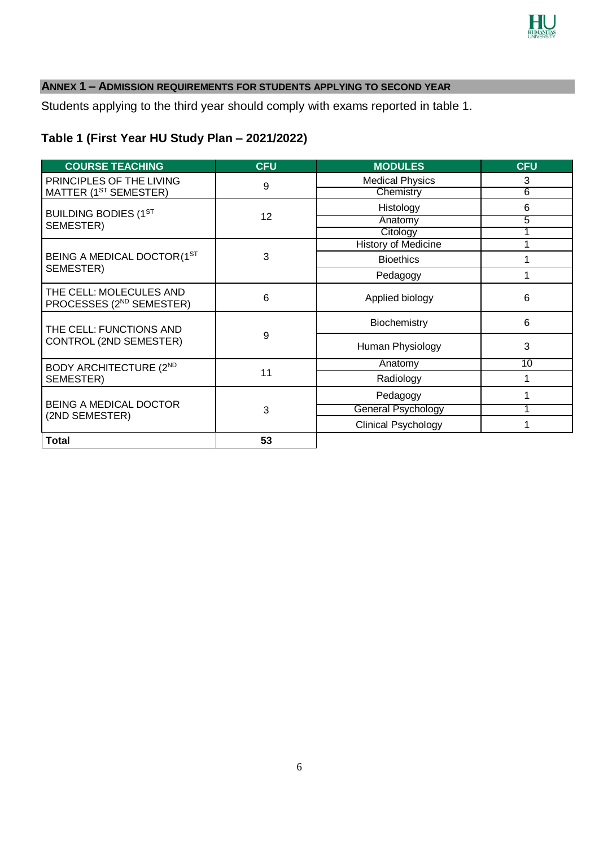

# **ANNEX 1 – ADMISSION REQUIREMENTS FOR STUDENTS APPLYING TO SECOND YEAR**

Students applying to the third year should comply with exams reported in table 1.

# **Table 1 (First Year HU Study Plan – 2021/2022)**

| <b>COURSE TEACHING</b>                                          | <b>CFU</b> | <b>MODULES</b>               | <b>CFU</b>     |
|-----------------------------------------------------------------|------------|------------------------------|----------------|
| PRINCIPLES OF THE LIVING                                        | 9          | <b>Medical Physics</b>       | 3              |
| MATTER (1 <sup>ST</sup> SEMESTER)                               |            | Chemistry                    | $\overline{6}$ |
| <b>BUILDING BODIES (1ST</b>                                     |            | Histology                    | 6              |
| SEMESTER)                                                       | 12         | Anatomy                      | 5              |
|                                                                 |            | Citology                     |                |
|                                                                 |            | History of Medicine          |                |
| BEING A MEDICAL DOCTOR (1ST                                     | 3          | <b>Bioethics</b><br>Pedagogy |                |
| SEMESTER)                                                       |            |                              |                |
| THE CELL: MOLECULES AND<br>PROCESSES (2 <sup>ND</sup> SEMESTER) | 6          | Applied biology              | 6              |
| THE CELL: FUNCTIONS AND                                         |            | Biochemistry                 | 6              |
| CONTROL (2ND SEMESTER)                                          | 9          | Human Physiology             | 3              |
| <b>BODY ARCHITECTURE (2ND)</b>                                  |            | Anatomy                      | 10             |
| SEMESTER)                                                       | 11         | Radiology                    | 1              |
|                                                                 |            | Pedagogy                     |                |
| <b>BEING A MEDICAL DOCTOR</b>                                   | 3          | <b>General Psychology</b>    |                |
| (2ND SEMESTER)                                                  |            | <b>Clinical Psychology</b>   |                |
| <b>Total</b>                                                    | 53         |                              |                |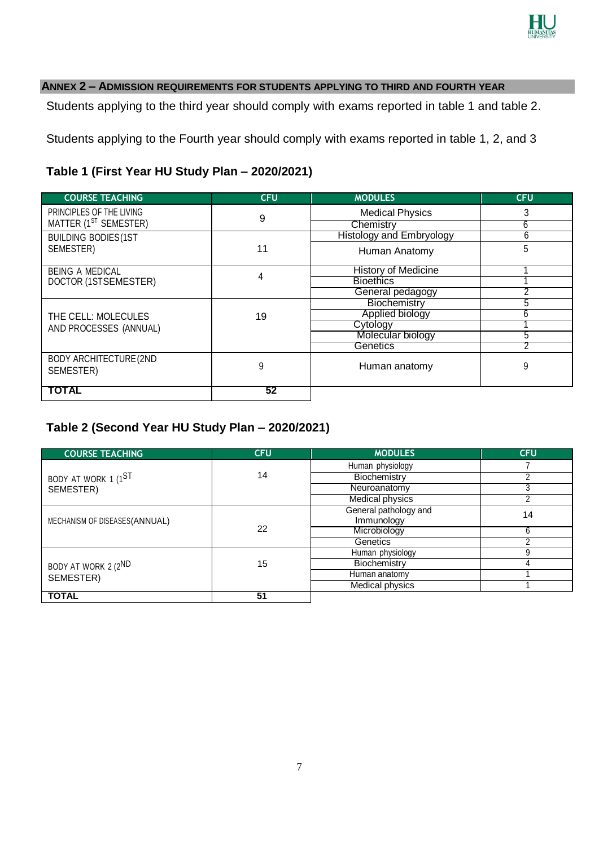

### **ANNEX 2 – ADMISSION REQUIREMENTS FOR STUDENTS APPLYING TO THIRD AND FOURTH YEAR**

Students applying to the third year should comply with exams reported in table 1 and table 2.

Students applying to the Fourth year should comply with exams reported in table 1, 2, and 3

## **Table 1 (First Year HU Study Plan – 2020/2021)**

| <b>COURSE TEACHING</b>                      | <b>CFU</b> | <b>MODULES</b>                  | <b>CFU</b> |
|---------------------------------------------|------------|---------------------------------|------------|
| PRINCIPLES OF THE LIVING                    | 9          | <b>Medical Physics</b>          | 3          |
| MATTER (1 <sup>ST</sup> SEMESTER)           |            | Chemistry                       | 6          |
| <b>BUILDING BODIES(1ST</b>                  |            | <b>Histology and Embryology</b> | 6          |
| SEMESTER)                                   | 11         | Human Anatomy                   | 5          |
| <b>BEING A MEDICAL</b>                      | 4          | History of Medicine             |            |
| DOCTOR (1STSEMESTER)                        |            | <b>Bioethics</b>                |            |
|                                             |            | General pedagogy                |            |
|                                             |            | Biochemistry                    |            |
| THE CELL: MOLECULES                         | 19         | Applied biology                 | 6          |
| AND PROCESSES (ANNUAL)                      |            | Cytology                        |            |
|                                             |            | Molecular biology               | b          |
|                                             |            | Genetics                        |            |
| <b>BODY ARCHITECTURE (2ND)</b><br>SEMESTER) | 9          | Human anatomy                   | 9          |
| TOTAL                                       | 52         |                                 |            |

## **Table 2 (Second Year HU Study Plan – 2020/2021)**

| <b>COURSE TEACHING</b>         | <b>CFU</b> | <b>MODULES</b>                      | <b>CFU</b> |
|--------------------------------|------------|-------------------------------------|------------|
|                                |            | Human physiology                    |            |
| BODY AT WORK 1 (1ST            | 14         | Biochemistry                        |            |
| SEMESTER)                      |            | Neuroanatomy                        |            |
|                                |            | <b>Medical physics</b>              | ∩          |
| MECHANISM OF DISEASES (ANNUAL) |            | General pathology and<br>Immunology | 14<br>6    |
|                                | 22         | Microbiology                        |            |
|                                |            | Genetics                            |            |
|                                |            | Human physiology                    |            |
| BODY AT WORK 2 (2ND            | 15         | Biochemistry                        |            |
| SEMESTER)                      |            | Human anatomy                       |            |
|                                |            | Medical physics                     |            |
| <b>TOTAL</b>                   | 51         |                                     |            |